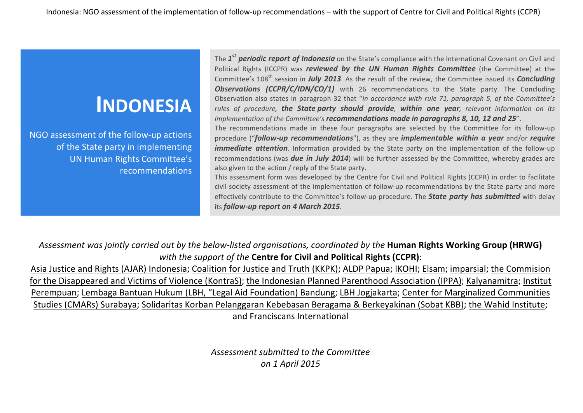# **INDONESIA**

NGO assessment of the follow-up actions of the State party in implementing UN Human Rights Committee's recommendations

The  $1^{st}$  **periodic report of Indonesia** on the State's compliance with the International Covenant on Civil and Political Rights (ICCPR) was *reviewed by the UN Human Rights Committee* (the Committee) at the Committee's 108<sup>th</sup> session in *July 2013*. As the result of the review, the Committee issued its *Concluding* **Observations (CCPR/C/IDN/CO/1)** with 26 recommendations to the State party. The Concluding Observation also states in paragraph 32 that "In accordance with rule 71, paragraph 5, of the Committee's rules of procedure, **the State party should provide**, **within one year**, relevant information on its *implementation of the Committee's recommendations made in paragraphs 8, 10, 12 and 25".* 

The recommendations made in these four paragraphs are selected by the Committee for its follow-up procedure ("*follow-up recommendations*"), as they are *implementable* within a year and/or *require immediate attention*. Information provided by the State party on the implementation of the follow-up recommendations (was **due in July 2014**) will be further assessed by the Committee, whereby grades are also given to the action / reply of the State party.

This assessment form was developed by the Centre for Civil and Political Rights (CCPR) in order to facilitate civil society assessment of the implementation of follow-up recommendations by the State party and more effectively contribute to the Committee's follow-up procedure. The **State party has submitted** with delay its *follow-up report on 4 March 2015*.

Assessment was jointly carried out by the below-listed organisations, coordinated by the **Human Rights Working Group (HRWG)** *with the support of the Centre for Civil and Political Rights (CCPR):* 

Asia Justice and Rights (AJAR) Indonesia; Coalition for Justice and Truth (KKPK); ALDP Papua; IKOHI; Elsam; imparsial; the Commision for the Disappeared and Victims of Violence (KontraS); the Indonesian Planned Parenthood Association (IPPA); Kalyanamitra; Institut Perempuan; Lembaga Bantuan Hukum (LBH, "Legal Aid Foundation) Bandung; LBH Jogjakarta; Center for Marginalized Communities Studies (CMARs) Surabaya; Solidaritas Korban Pelanggaran Kebebasan Beragama & Berkeyakinan (Sobat KBB); the Wahid Institute; and Franciscans International

> Assessment submitted to the Committee *on 1 April 2015*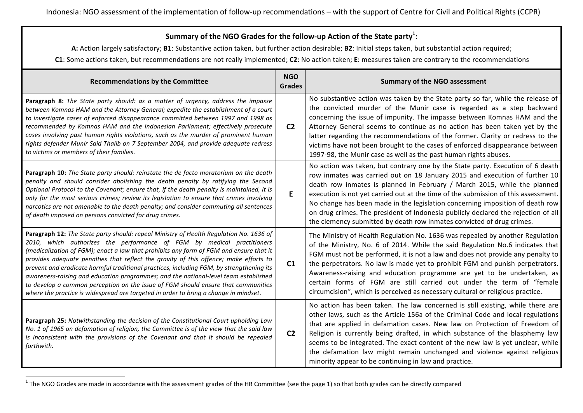## Summary of the NGO Grades for the follow-up Action of the State party<sup>1</sup>:

A: Action largely satisfactory; B1: Substantive action taken, but further action desirable; B2: Initial steps taken, but substantial action required;

**C1**: Some actions taken, but recommendations are not really implemented; C2: No action taken; E: measures taken are contrary to the recommendations

| <b>Recommendations by the Committee</b>                                                                                                                                                                                                                                                                                                                                                                                                                                                                                                                                                                                                                                                                             | <b>NGO</b><br><b>Grades</b> | <b>Summary of the NGO assessment</b>                                                                                                                                                                                                                                                                                                                                                                                                                                                                                                                                          |
|---------------------------------------------------------------------------------------------------------------------------------------------------------------------------------------------------------------------------------------------------------------------------------------------------------------------------------------------------------------------------------------------------------------------------------------------------------------------------------------------------------------------------------------------------------------------------------------------------------------------------------------------------------------------------------------------------------------------|-----------------------------|-------------------------------------------------------------------------------------------------------------------------------------------------------------------------------------------------------------------------------------------------------------------------------------------------------------------------------------------------------------------------------------------------------------------------------------------------------------------------------------------------------------------------------------------------------------------------------|
| Paragraph 8: The State party should: as a matter of urgency, address the impasse<br>between Komnas HAM and the Attorney General; expedite the establishment of a court<br>to investigate cases of enforced disappearance committed between 1997 and 1998 as<br>recommended by Komnas HAM and the Indonesian Parliament; effectively prosecute<br>cases involving past human rights violations, such as the murder of prominent human<br>rights defender Munir Said Thalib on 7 September 2004, and provide adequate redress<br>to victims or members of their families.                                                                                                                                             | C <sub>2</sub>              | No substantive action was taken by the State party so far, while the release of<br>the convicted murder of the Munir case is regarded as a step backward<br>concerning the issue of impunity. The impasse between Komnas HAM and the<br>Attorney General seems to continue as no action has been taken yet by the<br>latter regarding the recommendations of the former. Clarity or redress to the<br>victims have not been brought to the cases of enforced disappearance between<br>1997-98, the Munir case as well as the past human rights abuses.                        |
| Paragraph 10: The State party should: reinstate the de facto moratorium on the death<br>penalty and should consider abolishing the death penalty by ratifying the Second<br>Optional Protocol to the Covenant; ensure that, if the death penalty is maintained, it is<br>only for the most serious crimes; review its legislation to ensure that crimes involving<br>narcotics are not amenable to the death penalty; and consider commuting all sentences<br>of death imposed on persons convicted for drug crimes.                                                                                                                                                                                                | E                           | No action was taken, but contrary one by the State party. Execution of 6 death<br>row inmates was carried out on 18 January 2015 and execution of further 10<br>death row inmates is planned in February / March 2015, while the planned<br>execution is not yet carried out at the time of the submission of this assessment.<br>No change has been made in the legislation concerning imposition of death row<br>on drug crimes. The president of Indonesia publicly declared the rejection of all<br>the clemency submitted by death row inmates convicted of drug crimes. |
| Paragraph 12: The State party should: repeal Ministry of Health Regulation No. 1636 of<br>2010, which authorizes the performance of FGM by medical practitioners<br>(medicalization of FGM); enact a law that prohibits any form of FGM and ensure that it<br>provides adequate penalties that reflect the gravity of this offence; make efforts to<br>prevent and eradicate harmful traditional practices, including FGM, by strengthening its<br>awareness-raising and education programmes; and the national-level team established<br>to develop a common perception on the issue of FGM should ensure that communities<br>where the practice is widespread are targeted in order to bring a change in mindset. | C1                          | The Ministry of Health Regulation No. 1636 was repealed by another Regulation<br>of the Ministry, No. 6 of 2014. While the said Regulation No.6 indicates that<br>FGM must not be performed, it is not a law and does not provide any penalty to<br>the perpetrators. No law is made yet to prohibit FGM and punish perpetrators.<br>Awareness-raising and education programme are yet to be undertaken, as<br>certain forms of FGM are still carried out under the term of "female<br>circumcision", which is perceived as necessary cultural or religious practice.         |
| Paragraph 25: Notwithstanding the decision of the Constitutional Court upholding Law<br>No. 1 of 1965 on defamation of religion, the Committee is of the view that the said law<br>is inconsistent with the provisions of the Covenant and that it should be repealed<br>forthwith.                                                                                                                                                                                                                                                                                                                                                                                                                                 | C <sub>2</sub>              | No action has been taken. The law concerned is still existing, while there are<br>other laws, such as the Article 156a of the Criminal Code and local regulations<br>that are applied in defamation cases. New law on Protection of Freedom of<br>Religion is currently being drafted, in which substance of the blasphemy law<br>seems to be integrated. The exact content of the new law is yet unclear, while<br>the defamation law might remain unchanged and violence against religious<br>minority appear to be continuing in law and practice.                         |

<sup>&</sup>lt;sup>1</sup> The NGO Grades are made in accordance with the assessment grades of the HR Committee (see the page 1) so that both grades can be directly compared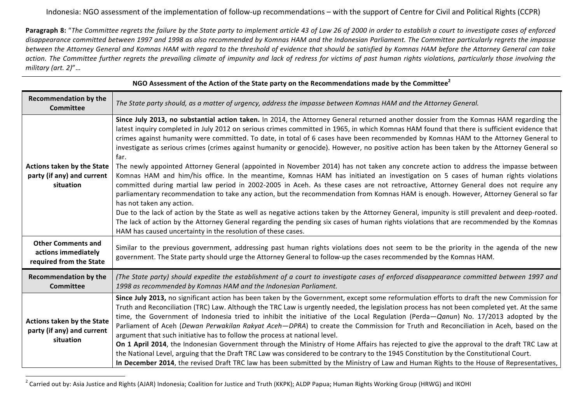**Paragraph 8:** "The Committee regrets the failure by the State party to implement article 43 of Law 26 of 2000 in order to establish a court to investigate cases of enforced disappearance committed between 1997 and 1998 as also recommended by Komnas HAM and the Indonesian Parliament. The Committee particularly regrets the impasse between the Attorney General and Komnas HAM with regard to the threshold of evidence that should be satisfied by Komnas HAM before the Attorney General can take action. The Committee further regrets the prevailing climate of impunity and lack of redress for victims of past human rights violations, particularly those involving the *military (art. 2)*"…

| NGO Assessment of the Action of the State party on the Recommendations made by the Committee <sup>2</sup> |                                                                                                                                                                                                                                                                                                                                                                                                                                                                                                                                                                                                                                                                                                                                                                                                                                                                                                                                                                                                                                                                                                                                                                                                                                                                                                                                                                                                                                                                                                                                      |  |  |
|-----------------------------------------------------------------------------------------------------------|--------------------------------------------------------------------------------------------------------------------------------------------------------------------------------------------------------------------------------------------------------------------------------------------------------------------------------------------------------------------------------------------------------------------------------------------------------------------------------------------------------------------------------------------------------------------------------------------------------------------------------------------------------------------------------------------------------------------------------------------------------------------------------------------------------------------------------------------------------------------------------------------------------------------------------------------------------------------------------------------------------------------------------------------------------------------------------------------------------------------------------------------------------------------------------------------------------------------------------------------------------------------------------------------------------------------------------------------------------------------------------------------------------------------------------------------------------------------------------------------------------------------------------------|--|--|
| <b>Recommendation by the</b><br><b>Committee</b>                                                          | The State party should, as a matter of urgency, address the impasse between Komnas HAM and the Attorney General.                                                                                                                                                                                                                                                                                                                                                                                                                                                                                                                                                                                                                                                                                                                                                                                                                                                                                                                                                                                                                                                                                                                                                                                                                                                                                                                                                                                                                     |  |  |
| <b>Actions taken by the State</b><br>party (if any) and current<br>situation                              | Since July 2013, no substantial action taken. In 2014, the Attorney General returned another dossier from the Komnas HAM regarding the<br>latest inquiry completed in July 2012 on serious crimes committed in 1965, in which Komnas HAM found that there is sufficient evidence that<br>crimes against humanity were committed. To date, in total of 6 cases have been recommended by Komnas HAM to the Attorney General to<br>investigate as serious crimes (crimes against humanity or genocide). However, no positive action has been taken by the Attorney General so<br>far.<br>The newly appointed Attorney General (appointed in November 2014) has not taken any concrete action to address the impasse between<br>Komnas HAM and him/his office. In the meantime, Komnas HAM has initiated an investigation on 5 cases of human rights violations<br>committed during martial law period in 2002-2005 in Aceh. As these cases are not retroactive, Attorney General does not require any<br>parliamentary recommendation to take any action, but the recommendation from Komnas HAM is enough. However, Attorney General so far<br>has not taken any action.<br>Due to the lack of action by the State as well as negative actions taken by the Attorney General, impunity is still prevalent and deep-rooted.<br>The lack of action by the Attorney General regarding the pending six cases of human rights violations that are recommended by the Komnas<br>HAM has caused uncertainty in the resolution of these cases. |  |  |
| <b>Other Comments and</b><br>actions immediately<br>required from the State                               | Similar to the previous government, addressing past human rights violations does not seem to be the priority in the agenda of the new<br>government. The State party should urge the Attorney General to follow-up the cases recommended by the Komnas HAM.                                                                                                                                                                                                                                                                                                                                                                                                                                                                                                                                                                                                                                                                                                                                                                                                                                                                                                                                                                                                                                                                                                                                                                                                                                                                          |  |  |
| <b>Recommendation by the</b><br><b>Committee</b>                                                          | (The State party) should expedite the establishment of a court to investigate cases of enforced disappearance committed between 1997 and<br>1998 as recommended by Komnas HAM and the Indonesian Parliament.                                                                                                                                                                                                                                                                                                                                                                                                                                                                                                                                                                                                                                                                                                                                                                                                                                                                                                                                                                                                                                                                                                                                                                                                                                                                                                                         |  |  |
| <b>Actions taken by the State</b><br>party (if any) and current<br>situation                              | Since July 2013, no significant action has been taken by the Government, except some reformulation efforts to draft the new Commission for<br>Truth and Reconciliation (TRC) Law. Although the TRC Law is urgently needed, the legislation process has not been completed yet. At the same<br>time, the Government of Indonesia tried to inhibit the initiative of the Local Regulation (Perda-Qanun) No. 17/2013 adopted by the<br>Parliament of Aceh (Dewan Perwakilan Rakyat Aceh-DPRA) to create the Commission for Truth and Reconciliation in Aceh, based on the<br>argument that such initiative has to follow the process at national level.<br>On 1 April 2014, the Indonesian Government through the Ministry of Home Affairs has rejected to give the approval to the draft TRC Law at<br>the National Level, arguing that the Draft TRC Law was considered to be contrary to the 1945 Constitution by the Constitutional Court.<br>In December 2014, the revised Draft TRC law has been submitted by the Ministry of Law and Human Rights to the House of Representatives,                                                                                                                                                                                                                                                                                                                                                                                                                                               |  |  |

<sup>&</sup>lt;sup>2</sup> Carried out by: Asia Justice and Rights (AJAR) Indonesia; Coalition for Justice and Truth (KKPK); ALDP Papua; Human Rights Working Group (HRWG) and IKOHI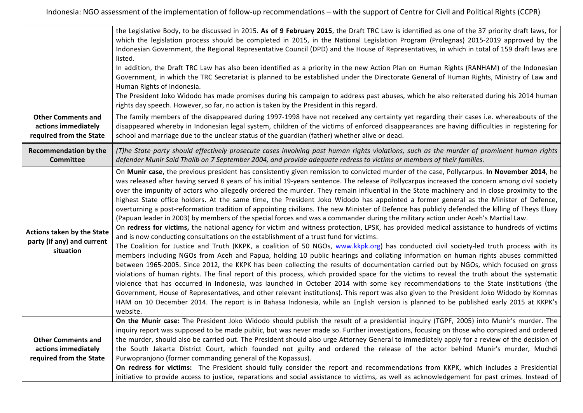|                                         | the Legislative Body, to be discussed in 2015. As of 9 February 2015, the Draft TRC Law is identified as one of the 37 priority draft laws, for                                                                                                                                        |
|-----------------------------------------|----------------------------------------------------------------------------------------------------------------------------------------------------------------------------------------------------------------------------------------------------------------------------------------|
|                                         | which the legislation process should be completed in 2015, in the National Legislation Program (Prolegnas) 2015-2019 approved by the                                                                                                                                                   |
|                                         | Indonesian Government, the Regional Representative Council (DPD) and the House of Representatives, in which in total of 159 draft laws are<br>listed.                                                                                                                                  |
|                                         | In addition, the Draft TRC Law has also been identified as a priority in the new Action Plan on Human Rights (RANHAM) of the Indonesian                                                                                                                                                |
|                                         | Government, in which the TRC Secretariat is planned to be established under the Directorate General of Human Rights, Ministry of Law and                                                                                                                                               |
|                                         | Human Rights of Indonesia.                                                                                                                                                                                                                                                             |
|                                         | The President Joko Widodo has made promises during his campaign to address past abuses, which he also reiterated during his 2014 human                                                                                                                                                 |
|                                         | rights day speech. However, so far, no action is taken by the President in this regard.                                                                                                                                                                                                |
| <b>Other Comments and</b>               | The family members of the disappeared during 1997-1998 have not received any certainty yet regarding their cases i.e. whereabouts of the                                                                                                                                               |
| actions immediately                     | disappeared whereby in Indonesian legal system, children of the victims of enforced disappearances are having difficulties in registering for                                                                                                                                          |
| required from the State                 | school and marriage due to the unclear status of the guardian (father) whether alive or dead.                                                                                                                                                                                          |
| <b>Recommendation by the</b>            | (T)he State party should effectively prosecute cases involving past human rights violations, such as the murder of prominent human rights                                                                                                                                              |
| <b>Committee</b>                        | defender Munir Said Thalib on 7 September 2004, and provide adequate redress to victims or members of their families.                                                                                                                                                                  |
|                                         | On Munir case, the previous president has consistently given remission to convicted murder of the case, Pollycarpus. In November 2014, he                                                                                                                                              |
|                                         | was released after having served 8 years of his initial 19-years sentence. The release of Pollycarpus increased the concern among civil society                                                                                                                                        |
|                                         | over the impunity of actors who allegedly ordered the murder. They remain influential in the State machinery and in close proximity to the                                                                                                                                             |
|                                         | highest State office holders. At the same time, the President Joko Widodo has appointed a former general as the Minister of Defence,<br>overturning a post-reformation tradition of appointing civilians. The new Minister of Defence has publicly defended the killing of Theys Eluay |
|                                         | (Papuan leader in 2003) by members of the special forces and was a commander during the military action under Aceh's Martial Law.                                                                                                                                                      |
|                                         | On redress for victims, the national agency for victim and witness protection, LPSK, has provided medical assistance to hundreds of victims                                                                                                                                            |
| Actions taken by the State              | and is now conducting consultations on the establishment of a trust fund for victims.                                                                                                                                                                                                  |
| party (if any) and current<br>situation | The Coalition for Justice and Truth (KKPK, a coalition of 50 NGOs, www.kkpk.org) has conducted civil society-led truth process with its                                                                                                                                                |
|                                         | members including NGOs from Aceh and Papua, holding 10 public hearings and collating information on human rights abuses committed                                                                                                                                                      |
|                                         | between 1965-2005. Since 2012, the KKPK has been collecting the results of documentation carried out by NGOs, which focused on gross                                                                                                                                                   |
|                                         | violations of human rights. The final report of this process, which provided space for the victims to reveal the truth about the systematic                                                                                                                                            |
|                                         | violence that has occurred in Indonesia, was launched in October 2014 with some key recommendations to the State institutions (the<br>Government, House of Representatives, and other relevant institutions). This report was also given to the President Joko Widodo by Komnas        |
|                                         | HAM on 10 December 2014. The report is in Bahasa Indonesia, while an English version is planned to be published early 2015 at KKPK's                                                                                                                                                   |
|                                         | website.                                                                                                                                                                                                                                                                               |
|                                         | On the Munir case: The President Joko Widodo should publish the result of a presidential inquiry (TGPF, 2005) into Munir's murder. The                                                                                                                                                 |
|                                         | inquiry report was supposed to be made public, but was never made so. Further investigations, focusing on those who conspired and ordered                                                                                                                                              |
| <b>Other Comments and</b>               | the murder, should also be carried out. The President should also urge Attorney General to immediately apply for a review of the decision of                                                                                                                                           |
| actions immediately                     | the South Jakarta District Court, which founded not guilty and ordered the release of the actor behind Munir's murder, Muchdi                                                                                                                                                          |
| required from the State                 | Purwopranjono (former commanding general of the Kopassus).                                                                                                                                                                                                                             |
|                                         | On redress for victims: The President should fully consider the report and recommendations from KKPK, which includes a Presidential                                                                                                                                                    |
|                                         | initiative to provide access to justice, reparations and social assistance to victims, as well as acknowledgement for past crimes. Instead of                                                                                                                                          |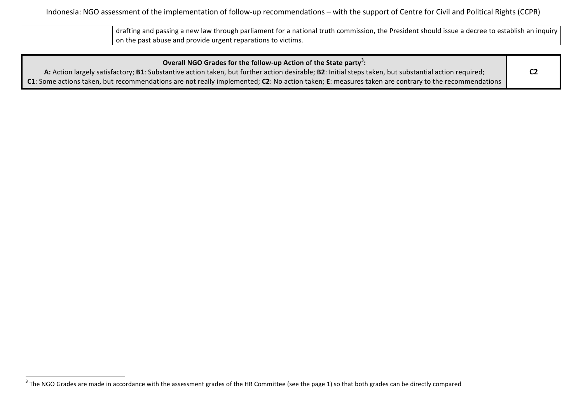| drafting and passing a new law through parliament for a national truth commission, the President should issue a decree to establish an inquiry |
|------------------------------------------------------------------------------------------------------------------------------------------------|
| on the past abuse and provide urgent reparations to victims.                                                                                   |

| Overall NGO Grades for the follow-up Action of the State party <sup>3</sup> :                                                                         |  |
|-------------------------------------------------------------------------------------------------------------------------------------------------------|--|
| A: Action largely satisfactory; B1: Substantive action taken, but further action desirable; B2: Initial steps taken, but substantial action required; |  |
| C1: Some actions taken, but recommendations are not really implemented; C2: No action taken; E: measures taken are contrary to the recommendations    |  |

<sup>&</sup>lt;sup>3</sup> The NGO Grades are made in accordance with the assessment grades of the HR Committee (see the page 1) so that both grades can be directly compared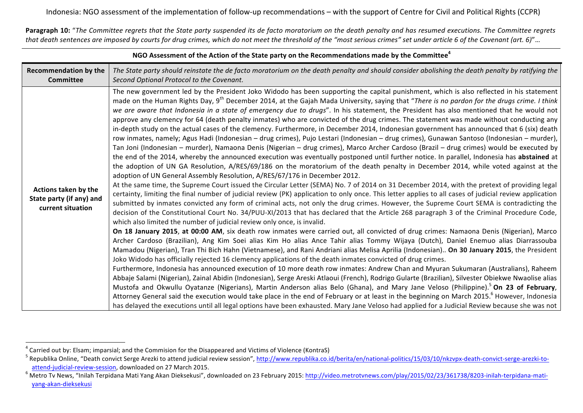**Paragraph 10:** "The Committee regrets that the State party suspended its de facto moratorium on the death penalty and has resumed executions. The Committee regrets that death sentences are imposed by courts for drug crimes, which do not meet the threshold of the "most serious crimes" set under article 6 of the Covenant (art. 6)"...

| NGO Assessment of the Action of the State party on the Recommendations made by the Committee <sup>4</sup> |                                                                                                                                                                                                                                                                                                                                                                                                                                                                                                                                                                                                                                                                                                                                                                                                                                                                                                                                                                                                                                                                                                                                                                                                                                                                                                                                                                                                                                                                                                                                                                                                                                                                                                                                                                                                                                                                                                                                                                                                                                                                                                                                                                                                                                                                                                                                                                                                                                                                                                                                                                                                                                                                                                                                                                                                                                                                                                                                                                                                                                                                                                                                                                                                                                                                                                                                                                                                |  |  |
|-----------------------------------------------------------------------------------------------------------|------------------------------------------------------------------------------------------------------------------------------------------------------------------------------------------------------------------------------------------------------------------------------------------------------------------------------------------------------------------------------------------------------------------------------------------------------------------------------------------------------------------------------------------------------------------------------------------------------------------------------------------------------------------------------------------------------------------------------------------------------------------------------------------------------------------------------------------------------------------------------------------------------------------------------------------------------------------------------------------------------------------------------------------------------------------------------------------------------------------------------------------------------------------------------------------------------------------------------------------------------------------------------------------------------------------------------------------------------------------------------------------------------------------------------------------------------------------------------------------------------------------------------------------------------------------------------------------------------------------------------------------------------------------------------------------------------------------------------------------------------------------------------------------------------------------------------------------------------------------------------------------------------------------------------------------------------------------------------------------------------------------------------------------------------------------------------------------------------------------------------------------------------------------------------------------------------------------------------------------------------------------------------------------------------------------------------------------------------------------------------------------------------------------------------------------------------------------------------------------------------------------------------------------------------------------------------------------------------------------------------------------------------------------------------------------------------------------------------------------------------------------------------------------------------------------------------------------------------------------------------------------------------------------------------------------------------------------------------------------------------------------------------------------------------------------------------------------------------------------------------------------------------------------------------------------------------------------------------------------------------------------------------------------------------------------------------------------------------------------------------------------------|--|--|
| <b>Recommendation by the</b><br><b>Committee</b>                                                          | The State party should reinstate the de facto moratorium on the death penalty and should consider abolishing the death penalty by ratifying the<br>Second Optional Protocol to the Covenant.                                                                                                                                                                                                                                                                                                                                                                                                                                                                                                                                                                                                                                                                                                                                                                                                                                                                                                                                                                                                                                                                                                                                                                                                                                                                                                                                                                                                                                                                                                                                                                                                                                                                                                                                                                                                                                                                                                                                                                                                                                                                                                                                                                                                                                                                                                                                                                                                                                                                                                                                                                                                                                                                                                                                                                                                                                                                                                                                                                                                                                                                                                                                                                                                   |  |  |
| Actions taken by the<br>State party (if any) and<br>current situation                                     | The new government led by the President Joko Widodo has been supporting the capital punishment, which is also reflected in his statement<br>made on the Human Rights Day, 9 <sup>th</sup> December 2014, at the Gajah Mada University, saying that "There is no pardon for the drugs crime. I think<br>we are aware that Indonesia in a state of emergency due to drugs". In his statement, the President has also mentioned that he would not<br>approve any clemency for 64 (death penalty inmates) who are convicted of the drug crimes. The statement was made without conducting any<br>in-depth study on the actual cases of the clemency. Furthermore, in December 2014, Indonesian government has announced that 6 (six) death<br>row inmates, namely; Agus Hadi (Indonesian - drug crimes), Pujo Lestari (Indonesian - drug crimes), Gunawan Santoso (Indonesian - murder),<br>Tan Joni (Indonesian – murder), Namaona Denis (Nigerian – drug crimes), Marco Archer Cardoso (Brazil – drug crimes) would be executed by<br>the end of the 2014, whereby the announced execution was eventually postponed until further notice. In parallel, Indonesia has abstained at<br>the adoption of UN GA Resolution, A/RES/69/186 on the moratorium of the death penalty in December 2014, while voted against at the<br>adoption of UN General Assembly Resolution, A/RES/67/176 in December 2012.<br>At the same time, the Supreme Court issued the Circular Letter (SEMA) No. 7 of 2014 on 31 December 2014, with the pretext of providing legal<br>certainty, limiting the final number of judicial review (PK) application to only once. This letter applies to all cases of judicial review application<br>submitted by inmates convicted any form of criminal acts, not only the drug crimes. However, the Supreme Court SEMA is contradicting the<br>decision of the Constitutional Court No. 34/PUU-XI/2013 that has declared that the Article 268 paragraph 3 of the Criminal Procedure Code,<br>which also limited the number of judicial review only once, is invalid.<br>On 18 January 2015, at 00:00 AM, six death row inmates were carried out, all convicted of drug crimes: Namaona Denis (Nigerian), Marco<br>Archer Cardoso (Brazilian), Ang Kim Soei alias Kim Ho alias Ance Tahir alias Tommy Wijaya (Dutch), Daniel Enemuo alias Diarrassouba<br>Mamadou (Nigerian), Tran Thi Bich Hahn (Vietnamese), and Rani Andriani alias Melisa Aprilia (Indonesian) On 30 January 2015, the President<br>Joko Widodo has officially rejected 16 clemency applications of the death inmates convicted of drug crimes.<br>Furthermore, Indonesia has announced execution of 10 more death row inmates: Andrew Chan and Myuran Sukumaran (Australians), Raheem<br>Abbaje Salami (Nigerian), Zainal Abidin (Indonesian), Serge Areski Atlaoui (French), Rodrigo Gularte (Brazilian), Silvester Obiekwe Nwaolise alias<br>Mustofa and Okwullu Oyatanze (Nigerians), Martin Anderson alias Belo (Ghana), and Mary Jane Veloso (Philippine). <sup>5</sup> On 23 of February,<br>Attorney General said the execution would take place in the end of February or at least in the beginning on March 2015. <sup>6</sup> However, Indonesia<br>has delayed the executions until all legal options have been exhausted. Mary Jane Veloso had applied for a Judicial Review because she was not |  |  |

<sup>&</sup>lt;sup>4</sup> Carried out by: Elsam; imparsial; and the Commision for the Disappeared and Victims of Violence (KontraS)

<sup>&</sup>lt;sup>5</sup> Republika Online, "Death convict Serge Arezki to attend judicial review session", http://www.republika.co.id/berita/en/national-politics/15/03/10/nkzvpx-death-convict-serge-arezki-toattend-judicial-review-session, downloaded on 27 March 2015.<br><sup>6</sup> Metro Tv News, "Inilah Terpidana Mati Yang Akan Dieksekusi", downloaded on 23 February 2015: http://video.metrotvnews.com/play/2015/02/23/361738/8203-inilah-

yang-akan-dieksekusi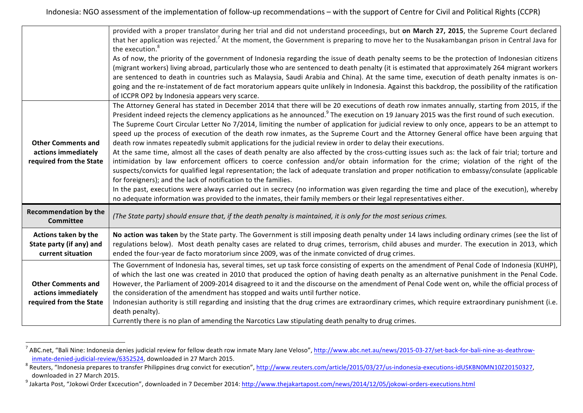|                                                                             | provided with a proper translator during her trial and did not understand proceedings, but on March 27, 2015, the Supreme Court declared<br>that her application was rejected. <sup>7</sup> At the moment, the Government is preparing to move her to the Nusakambangan prison in Central Java for<br>the execution. <sup>8</sup><br>As of now, the priority of the government of Indonesia regarding the issue of death penalty seems to be the protection of Indonesian citizens<br>(migrant workers) living abroad, particularly those who are sentenced to death penalty (it is estimated that approximately 264 migrant workers<br>are sentenced to death in countries such as Malaysia, Saudi Arabia and China). At the same time, execution of death penalty inmates is on-<br>going and the re-instatement of de fact moratorium appears quite unlikely in Indonesia. Against this backdrop, the possibility of the ratification<br>of ICCPR OP2 by Indonesia appears very scarce.                                                                                                                                                                                                                                                                                                                                                                                                                                                                                                                 |
|-----------------------------------------------------------------------------|------------------------------------------------------------------------------------------------------------------------------------------------------------------------------------------------------------------------------------------------------------------------------------------------------------------------------------------------------------------------------------------------------------------------------------------------------------------------------------------------------------------------------------------------------------------------------------------------------------------------------------------------------------------------------------------------------------------------------------------------------------------------------------------------------------------------------------------------------------------------------------------------------------------------------------------------------------------------------------------------------------------------------------------------------------------------------------------------------------------------------------------------------------------------------------------------------------------------------------------------------------------------------------------------------------------------------------------------------------------------------------------------------------------------------------------------------------------------------------------------------------|
| <b>Other Comments and</b><br>actions immediately<br>required from the State | The Attorney General has stated in December 2014 that there will be 20 executions of death row inmates annually, starting from 2015, if the<br>President indeed rejects the clemency applications as he announced. <sup>9</sup> The execution on 19 January 2015 was the first round of such execution.<br>The Supreme Court Circular Letter No 7/2014, limiting the number of application for judicial review to only once, appears to be an attempt to<br>speed up the process of execution of the death row inmates, as the Supreme Court and the Attorney General office have been arguing that<br>death row inmates repeatedly submit applications for the judicial review in order to delay their executions.<br>At the same time, almost all the cases of death penalty are also affected by the cross-cutting issues such as: the lack of fair trial; torture and<br>intimidation by law enforcement officers to coerce confession and/or obtain information for the crime; violation of the right of the<br>suspects/convicts for qualified legal representation; the lack of adequate translation and proper notification to embassy/consulate (applicable<br>for foreigners); and the lack of notification to the families.<br>In the past, executions were always carried out in secrecy (no information was given regarding the time and place of the execution), whereby<br>no adequate information was provided to the inmates, their family members or their legal representatives either. |
| <b>Recommendation by the</b><br><b>Committee</b>                            | (The State party) should ensure that, if the death penalty is maintained, it is only for the most serious crimes.                                                                                                                                                                                                                                                                                                                                                                                                                                                                                                                                                                                                                                                                                                                                                                                                                                                                                                                                                                                                                                                                                                                                                                                                                                                                                                                                                                                          |
| Actions taken by the<br>State party (if any) and<br>current situation       | No action was taken by the State party. The Government is still imposing death penalty under 14 laws including ordinary crimes (see the list of<br>regulations below). Most death penalty cases are related to drug crimes, terrorism, child abuses and murder. The execution in 2013, which<br>ended the four-year de facto moratorium since 2009, was of the inmate convicted of drug crimes.                                                                                                                                                                                                                                                                                                                                                                                                                                                                                                                                                                                                                                                                                                                                                                                                                                                                                                                                                                                                                                                                                                            |
| <b>Other Comments and</b><br>actions immediately<br>required from the State | The Government of Indonesia has, several times, set up task force consisting of experts on the amendment of Penal Code of Indonesia (KUHP),<br>of which the last one was created in 2010 that produced the option of having death penalty as an alternative punishment in the Penal Code.<br>However, the Parliament of 2009-2014 disagreed to it and the discourse on the amendment of Penal Code went on, while the official process of<br>the consideration of the amendment has stopped and waits until further notice.<br>Indonesian authority is still regarding and insisting that the drug crimes are extraordinary crimes, which require extraordinary punishment (i.e.<br>death penalty).<br>Currently there is no plan of amending the Narcotics Law stipulating death penalty to drug crimes.                                                                                                                                                                                                                                                                                                                                                                                                                                                                                                                                                                                                                                                                                                  |

<sup>&</sup>lt;sup>7</sup> ABC.net, "Bali Nine: Indonesia denies judicial review for fellow death row inmate Mary Jane Veloso", http://www.abc.net.au/news/2015-03-27/set-back-for-bali-nine-as-deathrow-

inmate-denied-judicial-review/6352524, downloaded in 27 March 2015.<br>
8 Reuters, "Indonesia prepares to transfer Philippines drug convict for execution", http://www.reuters.com/article/2015/03/27/us-indonesia-executions-idU

<sup>&</sup>lt;sup>9</sup> Jakarta Post, "Jokowi Order Excecution", downloaded in 7 December 2014: http://www.thejakartapost.com/news/2014/12/05/jokowi-orders-executions.html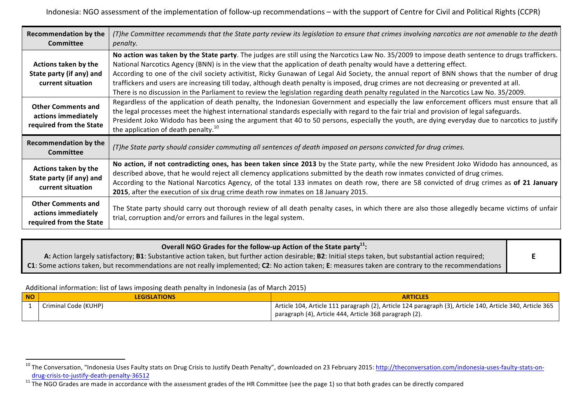| <b>Recommendation by the</b><br><b>Committee</b>                            | (T)he Committee recommends that the State party review its legislation to ensure that crimes involving narcotics are not amenable to the death<br><i>penalty.</i>                                                                                                                                                                                                                                                                                                                                                                                                                                                                                                                                           |
|-----------------------------------------------------------------------------|-------------------------------------------------------------------------------------------------------------------------------------------------------------------------------------------------------------------------------------------------------------------------------------------------------------------------------------------------------------------------------------------------------------------------------------------------------------------------------------------------------------------------------------------------------------------------------------------------------------------------------------------------------------------------------------------------------------|
| Actions taken by the<br>State party (if any) and<br>current situation       | No action was taken by the State party. The judges are still using the Narcotics Law No. 35/2009 to impose death sentence to drugs traffickers.<br>National Narcotics Agency (BNN) is in the view that the application of death penalty would have a dettering effect.<br>According to one of the civil society activitist, Ricky Gunawan of Legal Aid Society, the annual report of BNN shows that the number of drug<br>traffickers and users are increasing till today, although death penalty is imposed, drug crimes are not decreasing or prevented at all.<br>There is no discussion in the Parliament to review the legislation regarding death penalty regulated in the Narcotics Law No. 35/2009. |
| <b>Other Comments and</b><br>actions immediately<br>required from the State | Regardless of the application of death penalty, the Indonesian Government and especially the law enforcement officers must ensure that all<br>the legal processes meet the highest international standards especially with regard to the fair trial and provision of legal safeguards.<br>President Joko Widodo has been using the argument that 40 to 50 persons, especially the youth, are dying everyday due to narcotics to justify<br>the application of death penalty. <sup>10</sup>                                                                                                                                                                                                                  |
| <b>Recommendation by the</b><br><b>Committee</b>                            | (T)he State party should consider commuting all sentences of death imposed on persons convicted for drug crimes.                                                                                                                                                                                                                                                                                                                                                                                                                                                                                                                                                                                            |
| Actions taken by the<br>State party (if any) and<br>current situation       | No action, if not contradicting ones, has been taken since 2013 by the State party, while the new President Joko Widodo has announced, as<br>described above, that he would reject all clemency applications submitted by the death row inmates convicted of drug crimes.<br>According to the National Narcotics Agency, of the total 133 inmates on death row, there are 58 convicted of drug crimes as of 21 January<br>2015, after the execution of six drug crime death row inmates on 18 January 2015.                                                                                                                                                                                                 |
| <b>Other Comments and</b><br>actions immediately<br>required from the State | The State party should carry out thorough review of all death penalty cases, in which there are also those allegedly became victims of unfair<br>trial, corruption and/or errors and failures in the legal system.                                                                                                                                                                                                                                                                                                                                                                                                                                                                                          |

| Overall NGO Grades for the follow-up Action of the State party <sup>11</sup> :                                                                        |  |
|-------------------------------------------------------------------------------------------------------------------------------------------------------|--|
| A: Action largely satisfactory; B1: Substantive action taken, but further action desirable; B2: Initial steps taken, but substantial action required; |  |
| C1: Some actions taken, but recommendations are not really implemented; C2: No action taken; E: measures taken are contrary to the recommendations    |  |

Additional information: list of laws imposing death penalty in Indonesia (as of March 2015)

| <b>NO</b> | <b>LEGISLATIONS</b>  | <b>ARTICLES</b>                                                                                          |
|-----------|----------------------|----------------------------------------------------------------------------------------------------------|
|           | Criminal Code (KUHP) | Article 104, Article 111 paragraph (2), Article 124 paragraph (3), Article 140, Article 340, Article 365 |
|           |                      | paragraph (4), Article 444, Article 368 paragraph (2).                                                   |

<sup>&</sup>lt;sup>10</sup> The Conversation, "Indonesia Uses Faulty stats on Drug Crisis to Justify Death Penalty", downloaded on 23 February 2015: http://theconversation.com/indonesia-uses-faulty-stats-on-

drug-crisis-to-justify-death-penalty-36512<br><sup>11</sup> The NGO Grades are made in accordance with the assessment grades of the HR Committee (see the page 1) so that both grades can be directly compared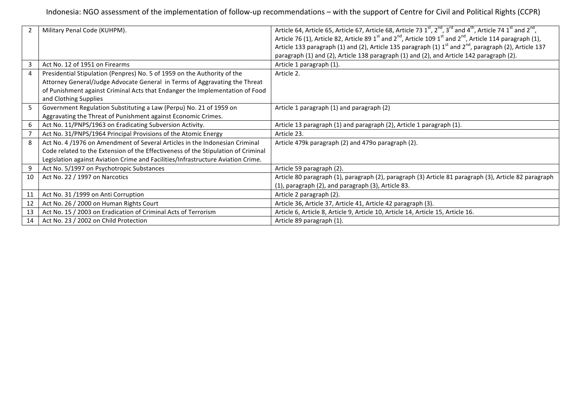| 2  | Military Penal Code (KUHPM).                                                      | Article 64, Article 65, Article 67, Article 68, Article 73 $1^{st}$ , $2^{nd}$ , $3^{rd}$ and $4^{th}$ , Article 74 $1^{st}$ and $2^{nd}$ ,               |
|----|-----------------------------------------------------------------------------------|-----------------------------------------------------------------------------------------------------------------------------------------------------------|
|    |                                                                                   | Article 76 (1), Article 82, Article 89 1 <sup>st</sup> and 2 <sup>nd</sup> , Article 109 1 <sup>st</sup> and 2 <sup>nd</sup> , Article 114 paragraph (1), |
|    |                                                                                   | Article 133 paragraph (1) and (2), Article 135 paragraph (1) $1st$ and $2nd$ , paragraph (2), Article 137                                                 |
|    |                                                                                   | paragraph (1) and (2), Article 138 paragraph (1) and (2), and Article 142 paragraph (2).                                                                  |
| 3  | Act No. 12 of 1951 on Firearms                                                    | Article 1 paragraph (1).                                                                                                                                  |
| 4  | Presidential Stipulation (Penpres) No. 5 of 1959 on the Authority of the          | Article 2.                                                                                                                                                |
|    | Attorney General/Judge Advocate General in Terms of Aggravating the Threat        |                                                                                                                                                           |
|    | of Punishment against Criminal Acts that Endanger the Implementation of Food      |                                                                                                                                                           |
|    | and Clothing Supplies                                                             |                                                                                                                                                           |
| 5  | Government Regulation Substituting a Law (Perpu) No. 21 of 1959 on                | Article 1 paragraph (1) and paragraph (2)                                                                                                                 |
|    | Aggravating the Threat of Punishment against Economic Crimes.                     |                                                                                                                                                           |
| 6  | Act No. 11/PNPS/1963 on Eradicating Subversion Activity.                          | Article 13 paragraph (1) and paragraph (2), Article 1 paragraph (1).                                                                                      |
|    | Act No. 31/PNPS/1964 Principal Provisions of the Atomic Energy                    | Article 23.                                                                                                                                               |
| 8  | Act No. 4 /1976 on Amendment of Several Articles in the Indonesian Criminal       | Article 479k paragraph (2) and 479o paragraph (2).                                                                                                        |
|    | Code related to the Extension of the Effectiveness of the Stipulation of Criminal |                                                                                                                                                           |
|    | Legislation against Aviation Crime and Facilities/Infrastructure Aviation Crime.  |                                                                                                                                                           |
| 9  | Act No. 5/1997 on Psychotropic Substances                                         | Article 59 paragraph (2).                                                                                                                                 |
| 10 | Act No. 22 / 1997 on Narcotics                                                    | Article 80 paragraph (1), paragraph (2), paragraph (3) Article 81 paragraph (3), Article 82 paragraph                                                     |
|    |                                                                                   | (1), paragraph (2), and paragraph (3), Article 83.                                                                                                        |
| 11 | Act No. 31 /1999 on Anti Corruption                                               | Article 2 paragraph (2).                                                                                                                                  |
| 12 | Act No. 26 / 2000 on Human Rights Court                                           | Article 36, Article 37, Article 41, Article 42 paragraph (3).                                                                                             |
| 13 | Act No. 15 / 2003 on Eradication of Criminal Acts of Terrorism                    | Article 6, Article 8, Article 9, Article 10, Article 14, Article 15, Article 16.                                                                          |
| 14 | Act No. 23 / 2002 on Child Protection                                             | Article 89 paragraph (1).                                                                                                                                 |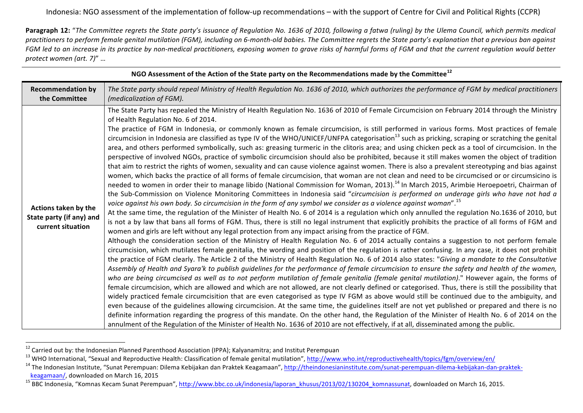**Paragraph 12:** "The Committee regrets the State party's issuance of Regulation No. 1636 of 2010, following a fatwa (ruling) by the Ulema Council, which permits medical practitioners to perform female genital mutilation (FGM), including on 6-month-old babies. The Committee regrets the State party's explanation that a previous ban against FGM led to an increase in its practice by non-medical practitioners, exposing women to grave risks of harmful forms of FGM and that the current regulation would better *protect women (art. 7)*" …

| <b>Recommendation by</b><br>the Committee                             | The State party should repeal Ministry of Health Regulation No. 1636 of 2010, which authorizes the performance of FGM by medical practitioners<br>(medicalization of FGM).                                                                                                                                                                                                                                                                                                                                                                                                                                                                                                                                                                                                                                                                                                                                                                                                                                                                                                                                                                                                                                                                                                                                                                                                                                                                                                                                                                                                                                                                                                                                                                                                                                                                                                                                                                                                                                                                                                                                                                                                                                                                                                                                                                                                                                                                                                                                                                                                                                                                                                                                                                                                                                                                                                                                                                                                                                                                                                                                                                                                                                                                                                                                                                                                                                                                                                            |
|-----------------------------------------------------------------------|---------------------------------------------------------------------------------------------------------------------------------------------------------------------------------------------------------------------------------------------------------------------------------------------------------------------------------------------------------------------------------------------------------------------------------------------------------------------------------------------------------------------------------------------------------------------------------------------------------------------------------------------------------------------------------------------------------------------------------------------------------------------------------------------------------------------------------------------------------------------------------------------------------------------------------------------------------------------------------------------------------------------------------------------------------------------------------------------------------------------------------------------------------------------------------------------------------------------------------------------------------------------------------------------------------------------------------------------------------------------------------------------------------------------------------------------------------------------------------------------------------------------------------------------------------------------------------------------------------------------------------------------------------------------------------------------------------------------------------------------------------------------------------------------------------------------------------------------------------------------------------------------------------------------------------------------------------------------------------------------------------------------------------------------------------------------------------------------------------------------------------------------------------------------------------------------------------------------------------------------------------------------------------------------------------------------------------------------------------------------------------------------------------------------------------------------------------------------------------------------------------------------------------------------------------------------------------------------------------------------------------------------------------------------------------------------------------------------------------------------------------------------------------------------------------------------------------------------------------------------------------------------------------------------------------------------------------------------------------------------------------------------------------------------------------------------------------------------------------------------------------------------------------------------------------------------------------------------------------------------------------------------------------------------------------------------------------------------------------------------------------------------------------------------------------------------------------------------------------------|
| Actions taken by the<br>State party (if any) and<br>current situation | The State Party has repealed the Ministry of Health Regulation No. 1636 of 2010 of Female Circumcision on February 2014 through the Ministry<br>of Health Regulation No. 6 of 2014.<br>The practice of FGM in Indonesia, or commonly known as female circumcision, is still performed in various forms. Most practices of female<br>circumcision in Indonesia are classified as type IV of the WHO/UNICEF/UNFPA categorisation <sup>13</sup> such as pricking, scraping or scratching the genital<br>area, and others performed symbolically, such as: greasing turmeric in the clitoris area; and using chicken peck as a tool of circumcision. In the<br>perspective of involved NGOs, practice of symbolic circumcision should also be prohibited, because it still makes women the object of tradition<br>that aim to restrict the rights of women, sexuality and can cause violence against women. There is also a prevalent stereotyping and bias against<br>women, which backs the practice of all forms of female circumcision, that woman are not clean and need to be circumcised or or circumsicino is<br>needed to women in order their to manage libido (National Commission for Woman, 2013). <sup>14</sup> In March 2015, Arimbie Heroepoetri, Chairman of<br>the Sub-Commission on Violence Monitoring Committees in Indonesia said "circumcision is performed on underage girls who have not had a<br>voice against his own body. So circumcision in the form of any symbol we consider as a violence against woman". <sup>15</sup><br>At the same time, the regulation of the Minister of Health No. 6 of 2014 is a regulation which only annulled the regulation No.1636 of 2010, but<br>is not a by law that bans all forms of FGM. Thus, there is still no legal instrument that explicitly prohibits the practice of all forms of FGM and<br>women and girls are left without any legal protection from any impact arising from the practice of FGM.<br>Although the consideration section of the Ministry of Health Regulation No. 6 of 2014 actually contains a suggestion to not perform female<br>circumcision, which mutilates female genitalia, the wording and position of the regulation is rather confusing. In any case, it does not prohibit<br>the practice of FGM clearly. The Article 2 of the Ministry of Health Regulation No. 6 of 2014 also states: "Giving a mandate to the Consultative<br>Assembly of Health and Syara'k to publish guidelines for the performance of female circumcision to ensure the safety and health of the women,<br>who are being circumcised as well as to not perform mutilation of female genitalia (female genital mutilation)." However again, the forms of<br>female circumcision, which are allowed and which are not allowed, are not clearly defined or categorised. Thus, there is still the possibility that<br>widely practiced female circumcisition that are even categorised as type IV FGM as above would still be continued due to the ambiguity, and<br>even because of the guidelines allowing circumcision. At the same time, the guidelines itself are not yet published or prepared and there is no<br>definite information regarding the progress of this mandate. On the other hand, the Regulation of the Minister of Health No. 6 of 2014 on the<br>annulment of the Regulation of the Minister of Health No. 1636 of 2010 are not effectively, if at all, disseminated among the public. |

NGO Assessment of the Action of the State party on the Recommendations made by the Committee<sup>12</sup>

<sup>&</sup>lt;sup>12</sup> Carried out by: the Indonesian Planned Parenthood Association (IPPA); Kalyanamitra; and Institut Perempuan

<sup>&</sup>lt;sup>13</sup> WHO International, "Sexual and Reproductive Health: Classification of female genital mutilation", http://www.who.int/reproductivehealth/topics/fgm/overview/en/<br><sup>14</sup> The Indonesian Institute, "Sunat Perempuan: Dilema K

keagamaan/, downloaded on March 16, 2015<br><sup>15</sup> BBC Indonesia, "Komnas Kecam Sunat Perempuan", http://www.bbc.co.uk/indonesia/laporan\_khusus/2013/02/130204\_komnassunat, downloaded on March 16, 2015.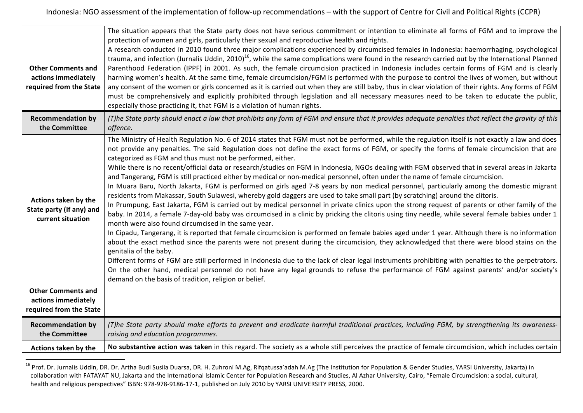|                                                                             | The situation appears that the State party does not have serious commitment or intention to eliminate all forms of FGM and to improve the                                                                                                                                                                                                                                                                                                                                                                                                                                                                                                                                                                                                                                                                                                                                                                                                                                                                                                                                                                                                                                                                                                                                                                                                                                                                                                                                                                                                                                                                                                                                                                                                                                                                                                                                                                                                                                         |
|-----------------------------------------------------------------------------|-----------------------------------------------------------------------------------------------------------------------------------------------------------------------------------------------------------------------------------------------------------------------------------------------------------------------------------------------------------------------------------------------------------------------------------------------------------------------------------------------------------------------------------------------------------------------------------------------------------------------------------------------------------------------------------------------------------------------------------------------------------------------------------------------------------------------------------------------------------------------------------------------------------------------------------------------------------------------------------------------------------------------------------------------------------------------------------------------------------------------------------------------------------------------------------------------------------------------------------------------------------------------------------------------------------------------------------------------------------------------------------------------------------------------------------------------------------------------------------------------------------------------------------------------------------------------------------------------------------------------------------------------------------------------------------------------------------------------------------------------------------------------------------------------------------------------------------------------------------------------------------------------------------------------------------------------------------------------------------|
| <b>Other Comments and</b><br>actions immediately<br>required from the State | protection of women and girls, particularly their sexual and reproductive health and rights.<br>A research conducted in 2010 found three major complications experienced by circumcised females in Indonesia: haemorrhaging, psychological<br>trauma, and infection (Jurnalis Uddin, 2010) <sup>16</sup> , while the same complications were found in the research carried out by the International Planned  <br>Parenthood Federation (IPPF) in 2001. As such, the female circumcision practiced in Indonesia includes certain forms of FGM and is clearly<br>harming women's health. At the same time, female circumcision/FGM is performed with the purpose to control the lives of women, but without<br>any consent of the women or girls concerned as it is carried out when they are still baby, thus in clear violation of their rights. Any forms of FGM<br>must be comprehensively and explicitly prohibited through legislation and all necessary measures need to be taken to educate the public,<br>especially those practicing it, that FGM is a violation of human rights.                                                                                                                                                                                                                                                                                                                                                                                                                                                                                                                                                                                                                                                                                                                                                                                                                                                                                         |
| <b>Recommendation by</b><br>the Committee                                   | (T)he State party should enact a law that prohibits any form of FGM and ensure that it provides adequate penalties that reflect the gravity of this<br>offence.                                                                                                                                                                                                                                                                                                                                                                                                                                                                                                                                                                                                                                                                                                                                                                                                                                                                                                                                                                                                                                                                                                                                                                                                                                                                                                                                                                                                                                                                                                                                                                                                                                                                                                                                                                                                                   |
| Actions taken by the<br>State party (if any) and<br>current situation       | The Ministry of Health Regulation No. 6 of 2014 states that FGM must not be performed, while the regulation itself is not exactly a law and does<br>not provide any penalties. The said Regulation does not define the exact forms of FGM, or specify the forms of female circumcision that are<br>categorized as FGM and thus must not be performed, either.<br>While there is no recent/official data or research/studies on FGM in Indonesia, NGOs dealing with FGM observed that in several areas in Jakarta<br>and Tangerang, FGM is still practiced either by medical or non-medical personnel, often under the name of female circumcision.<br>In Muara Baru, North Jakarta, FGM is performed on girls aged 7-8 years by non medical personnel, particularly among the domestic migrant<br>residents from Makassar, South Sulawesi, whereby gold daggers are used to take small part (by scratching) around the clitoris.<br>In Prumpung, East Jakarta, FGM is carried out by medical personnel in private clinics upon the strong request of parents or other family of the<br>baby. In 2014, a female 7-day-old baby was circumcised in a clinic by pricking the clitoris using tiny needle, while several female babies under 1<br>month were also found circumcised in the same year.<br>In Cipadu, Tangerang, it is reported that female circumcision is performed on female babies aged under 1 year. Although there is no information<br>about the exact method since the parents were not present during the circumcision, they acknowledged that there were blood stains on the<br>genitalia of the baby.<br>Different forms of FGM are still performed in Indonesia due to the lack of clear legal instruments prohibiting with penalties to the perpetrators.<br>On the other hand, medical personnel do not have any legal grounds to refuse the performance of FGM against parents' and/or society's<br>demand on the basis of tradition, religion or belief. |
| <b>Other Comments and</b><br>actions immediately<br>required from the State |                                                                                                                                                                                                                                                                                                                                                                                                                                                                                                                                                                                                                                                                                                                                                                                                                                                                                                                                                                                                                                                                                                                                                                                                                                                                                                                                                                                                                                                                                                                                                                                                                                                                                                                                                                                                                                                                                                                                                                                   |
| <b>Recommendation by</b><br>the Committee                                   | (T)he State party should make efforts to prevent and eradicate harmful traditional practices, including FGM, by strengthening its awareness-<br>raising and education programmes.                                                                                                                                                                                                                                                                                                                                                                                                                                                                                                                                                                                                                                                                                                                                                                                                                                                                                                                                                                                                                                                                                                                                                                                                                                                                                                                                                                                                                                                                                                                                                                                                                                                                                                                                                                                                 |
| Actions taken by the                                                        | No substantive action was taken in this regard. The society as a whole still perceives the practice of female circumcision, which includes certain                                                                                                                                                                                                                                                                                                                                                                                                                                                                                                                                                                                                                                                                                                                                                                                                                                                                                                                                                                                                                                                                                                                                                                                                                                                                                                                                                                                                                                                                                                                                                                                                                                                                                                                                                                                                                                |

<sup>&</sup>lt;sup>16</sup> Prof. Dr. Jurnalis Uddin, DR. Dr. Artha Budi Susila Duarsa, DR. H. Zuhroni M.Ag, Rifqatussa'adah M.Ag (The Institution for Population & Gender Studies, YARSI University, Jakarta) in collaboration with FATAYAT NU, Jakarta and the International Islamic Center for Population Research and Studies, Al Azhar University, Cairo, "Female Circumcision: a social, cultural, health and religious perspectives" ISBN: 978-978-9186-17-1, published on July 2010 by YARSI UNIVERSITY PRESS, 2000.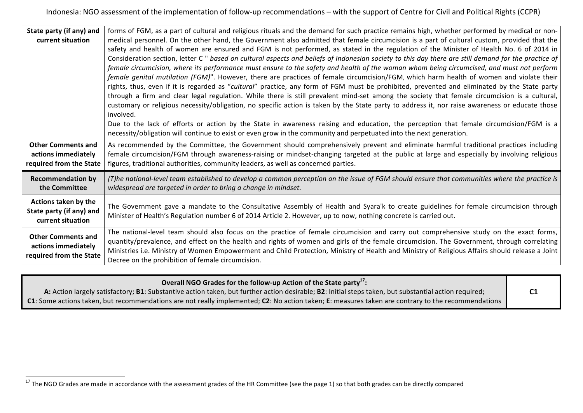| State party (if any) and                         | forms of FGM, as a part of cultural and religious rituals and the demand for such practice remains high, whether performed by medical or non-                |
|--------------------------------------------------|--------------------------------------------------------------------------------------------------------------------------------------------------------------|
| current situation                                | medical personnel. On the other hand, the Government also admitted that female circumcision is a part of cultural custom, provided that the                  |
|                                                  | safety and health of women are ensured and FGM is not performed, as stated in the regulation of the Minister of Health No. 6 of 2014 in                      |
|                                                  | Consideration section, letter C " based on cultural aspects and beliefs of Indonesian society to this day there are still demand for the practice of         |
|                                                  | female circumcision, where its performance must ensure to the safety and health of the woman whom being circumcised, and must not perform                    |
|                                                  | female genital mutilation (FGM)". However, there are practices of female circumcision/FGM, which harm health of women and violate their                      |
|                                                  | rights, thus, even if it is regarded as "cultural" practice, any form of FGM must be prohibited, prevented and eliminated by the State party                 |
|                                                  | through a firm and clear legal regulation. While there is still prevalent mind-set among the society that female circumcision is a cultural,                 |
|                                                  | customary or religious necessity/obligation, no specific action is taken by the State party to address it, nor raise awareness or educate those<br>involved. |
|                                                  | Due to the lack of efforts or action by the State in awareness raising and education, the perception that female circumcision/FGM is a                       |
|                                                  | necessity/obligation will continue to exist or even grow in the community and perpetuated into the next generation.                                          |
| <b>Other Comments and</b>                        | As recommended by the Committee, the Government should comprehensively prevent and eliminate harmful traditional practices including                         |
| actions immediately                              | female circumcision/FGM through awareness-raising or mindset-changing targeted at the public at large and especially by involving religious                  |
| required from the State                          | figures, traditional authorities, community leaders, as well as concerned parties.                                                                           |
|                                                  |                                                                                                                                                              |
| <b>Recommendation by</b>                         | (T)he national-level team established to develop a common perception on the issue of FGM should ensure that communities where the practice is                |
| the Committee                                    | widespread are targeted in order to bring a change in mindset.                                                                                               |
| Actions taken by the                             |                                                                                                                                                              |
| State party (if any) and                         | The Government gave a mandate to the Consultative Assembly of Health and Syara'k to create guidelines for female circumcision through                        |
| current situation                                | Minister of Health's Regulation number 6 of 2014 Article 2. However, up to now, nothing concrete is carried out.                                             |
|                                                  | The national-level team should also focus on the practice of female circumcision and carry out comprehensive study on the exact forms,                       |
| <b>Other Comments and</b><br>actions immediately | quantity/prevalence, and effect on the health and rights of women and girls of the female circumcision. The Government, through correlating                  |
|                                                  | Ministries i.e. Ministry of Women Empowerment and Child Protection, Ministry of Health and Ministry of Religious Affairs should release a Joint              |
| required from the State                          | Decree on the prohibition of female circumcision.                                                                                                            |

| Overall NGO Grades for the follow-up Action of the State party <sup>17</sup> :                                                                        |                |
|-------------------------------------------------------------------------------------------------------------------------------------------------------|----------------|
| A: Action largely satisfactory; B1: Substantive action taken, but further action desirable; B2: Initial steps taken, but substantial action required; | C <sub>1</sub> |
| C1: Some actions taken, but recommendations are not really implemented; C2: No action taken; E: measures taken are contrary to the recommendations    |                |

<sup>&</sup>lt;sup>17</sup> The NGO Grades are made in accordance with the assessment grades of the HR Committee (see the page 1) so that both grades can be directly compared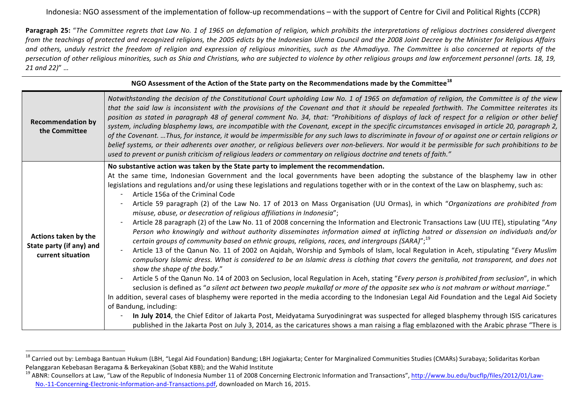**Paragraph 25:** "The Committee regrets that Law No. 1 of 1965 on defamation of religion, which prohibits the interpretations of religious doctrines considered divergent from the teachings of protected and recognized religions, the 2005 edicts by the Indonesian Ulema Council and the 2008 Joint Decree by the Minister for Religious Affairs and others, unduly restrict the freedom of religion and expression of religious minorities, such as the Ahmadiyya. The Committee is also concerned at reports of the persecution of other religious minorities, such as Shia and Christians, who are subjected to violence by other religious groups and law enforcement personnel (arts. 18, 19, *21 and 22)*" …

|                                                                       | NGO Assessment of the Action of the State party on the Recommendations made by the Committee <sup>18</sup>                                                                                                                                                                                                                                                                                                                                                                                                                                                                                                                                                                                                                                                                                                                                                                                                                                                                                                                                                                                                                                                                                                                                                                                                                                                                                                                                                                                                                                                                                                                                                                                                                                                                                                                                                                                                                                                                                                                                                                                                |  |  |
|-----------------------------------------------------------------------|-----------------------------------------------------------------------------------------------------------------------------------------------------------------------------------------------------------------------------------------------------------------------------------------------------------------------------------------------------------------------------------------------------------------------------------------------------------------------------------------------------------------------------------------------------------------------------------------------------------------------------------------------------------------------------------------------------------------------------------------------------------------------------------------------------------------------------------------------------------------------------------------------------------------------------------------------------------------------------------------------------------------------------------------------------------------------------------------------------------------------------------------------------------------------------------------------------------------------------------------------------------------------------------------------------------------------------------------------------------------------------------------------------------------------------------------------------------------------------------------------------------------------------------------------------------------------------------------------------------------------------------------------------------------------------------------------------------------------------------------------------------------------------------------------------------------------------------------------------------------------------------------------------------------------------------------------------------------------------------------------------------------------------------------------------------------------------------------------------------|--|--|
| <b>Recommendation by</b><br>the Committee                             | Notwithstanding the decision of the Constitutional Court upholding Law No. 1 of 1965 on defamation of religion, the Committee is of the view<br>that the said law is inconsistent with the provisions of the Covenant and that it should be repealed forthwith. The Committee reiterates its<br>position as stated in paragraph 48 of general comment No. 34, that: "Prohibitions of displays of lack of respect for a religion or other belief<br>system, including blasphemy laws, are incompatible with the Covenant, except in the specific circumstances envisaged in article 20, paragraph 2,<br>of the Covenant. Thus, for instance, it would be impermissible for any such laws to discriminate in favour of or against one or certain religions or<br>belief systems, or their adherents over another, or religious believers over non-believers. Nor would it be permissible for such prohibitions to be<br>used to prevent or punish criticism of religious leaders or commentary on religious doctrine and tenets of faith."                                                                                                                                                                                                                                                                                                                                                                                                                                                                                                                                                                                                                                                                                                                                                                                                                                                                                                                                                                                                                                                                  |  |  |
| Actions taken by the<br>State party (if any) and<br>current situation | No substantive action was taken by the State party to implement the recommendation.<br>At the same time, Indonesian Government and the local governments have been adopting the substance of the blasphemy law in other<br>legislations and regulations and/or using these legislations and regulations together with or in the context of the Law on blasphemy, such as:<br>Article 156a of the Criminal Code<br>Article 59 paragraph (2) of the Law No. 17 of 2013 on Mass Organisation (UU Ormas), in which "Organizations are prohibited from<br>misuse, abuse, or desecration of religious affiliations in Indonesia";<br>Article 28 paragraph (2) of the Law No. 11 of 2008 concerning the Information and Electronic Transactions Law (UU ITE), stipulating "Any<br>Person who knowingly and without authority disseminates information aimed at inflicting hatred or dissension on individuals and/or<br>certain groups of community based on ethnic groups, religions, races, and intergroups (SARA)"; <sup>19</sup><br>Article 13 of the Qanun No. 11 of 2002 on Aqidah, Worship and Symbols of Islam, local Regulation in Aceh, stipulating "Every Muslim<br>compulsory Islamic dress. What is considered to be an Islamic dress is clothing that covers the genitalia, not transparent, and does not<br>show the shape of the body."<br>Article 5 of the Qanun No. 14 of 2003 on Seclusion, local Regulation in Aceh, stating "Every person is prohibited from seclusion", in which<br>seclusion is defined as "a silent act between two people mukallaf or more of the opposite sex who is not mahram or without marriage."<br>In addition, several cases of blasphemy were reported in the media according to the Indonesian Legal Aid Foundation and the Legal Aid Society<br>of Bandung, including:<br>In July 2014, the Chief Editor of Jakarta Post, Meidyatama Suryodiningrat was suspected for alleged blasphemy through ISIS caricatures<br>published in the Jakarta Post on July 3, 2014, as the caricatures shows a man raising a flag emblazoned with the Arabic phrase "There is |  |  |

 

<sup>&</sup>lt;sup>18</sup> Carried out by: Lembaga Bantuan Hukum (LBH, "Legal Aid Foundation) Bandung; LBH Jogjakarta; Center for Marginalized Communities Studies (CMARs) Surabaya; Solidaritas Korban Pelanggaran Kebebasan Beragama & Berkeyakinan (Sobat KBB); and the Wahid Institute<br><sup>19</sup> ABNR: Counsellors at Law, "Law of the Republic of Indonesia Number 11 of 2008 Concerning Electronic Information and Transactions", htt

No.-11-Concerning-Electronic-Information-and-Transactions.pdf, downloaded on March 16, 2015.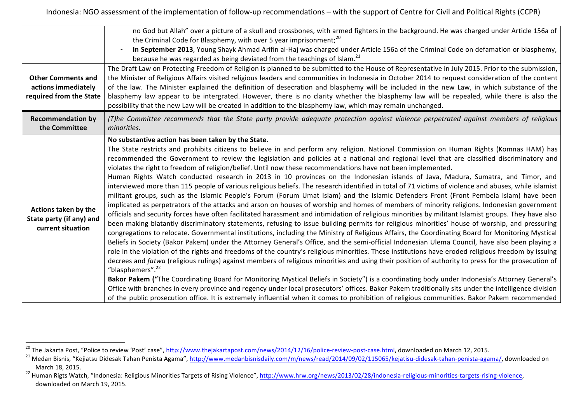|                                                                             | no God but Allah" over a picture of a skull and crossbones, with armed fighters in the background. He was charged under Article 156a of<br>the Criminal Code for Blasphemy, with over 5 year imprisonment; <sup>20</sup>                                                                                                                                                                                                                                                                                                                                                                                                                                                                                                                                                                                                                                                                                                                                                                                                                                                                                                                                                                                                                                                                                                                                                                                                                                                                                                                                                                                                                                                                                                                                                                                                                                                                                                                                                                                                                                                                                                                                                                                                                                                                                                                                                                                                                                              |
|-----------------------------------------------------------------------------|-----------------------------------------------------------------------------------------------------------------------------------------------------------------------------------------------------------------------------------------------------------------------------------------------------------------------------------------------------------------------------------------------------------------------------------------------------------------------------------------------------------------------------------------------------------------------------------------------------------------------------------------------------------------------------------------------------------------------------------------------------------------------------------------------------------------------------------------------------------------------------------------------------------------------------------------------------------------------------------------------------------------------------------------------------------------------------------------------------------------------------------------------------------------------------------------------------------------------------------------------------------------------------------------------------------------------------------------------------------------------------------------------------------------------------------------------------------------------------------------------------------------------------------------------------------------------------------------------------------------------------------------------------------------------------------------------------------------------------------------------------------------------------------------------------------------------------------------------------------------------------------------------------------------------------------------------------------------------------------------------------------------------------------------------------------------------------------------------------------------------------------------------------------------------------------------------------------------------------------------------------------------------------------------------------------------------------------------------------------------------------------------------------------------------------------------------------------------------|
|                                                                             | In September 2013, Young Shayk Ahmad Arifin al-Haj was charged under Article 156a of the Criminal Code on defamation or blasphemy,<br>because he was regarded as being deviated from the teachings of Islam. <sup>21</sup>                                                                                                                                                                                                                                                                                                                                                                                                                                                                                                                                                                                                                                                                                                                                                                                                                                                                                                                                                                                                                                                                                                                                                                                                                                                                                                                                                                                                                                                                                                                                                                                                                                                                                                                                                                                                                                                                                                                                                                                                                                                                                                                                                                                                                                            |
| <b>Other Comments and</b><br>actions immediately<br>required from the State | The Draft Law on Protecting Freedom of Religion is planned to be submitted to the House of Representative in July 2015. Prior to the submission,<br>the Minister of Religious Affairs visited religious leaders and communities in Indonesia in October 2014 to request consideration of the content<br>of the law. The Minister explained the definition of desecration and blasphemy will be included in the new Law, in which substance of the<br>blasphemy law appear to be intergrated. However, there is no clarity whether the blasphemy law will be repealed, while there is also the<br>possibility that the new Law will be created in addition to the blasphemy law, which may remain unchanged.                                                                                                                                                                                                                                                                                                                                                                                                                                                                                                                                                                                                                                                                                                                                                                                                                                                                                                                                                                                                                                                                                                                                                                                                                                                                                                                                                                                                                                                                                                                                                                                                                                                                                                                                                           |
| <b>Recommendation by</b><br>the Committee                                   | (T)he Committee recommends that the State party provide adequate protection against violence perpetrated against members of religious<br>minorities.                                                                                                                                                                                                                                                                                                                                                                                                                                                                                                                                                                                                                                                                                                                                                                                                                                                                                                                                                                                                                                                                                                                                                                                                                                                                                                                                                                                                                                                                                                                                                                                                                                                                                                                                                                                                                                                                                                                                                                                                                                                                                                                                                                                                                                                                                                                  |
| Actions taken by the<br>State party (if any) and<br>current situation       | No substantive action has been taken by the State.<br>The State restricts and prohibits citizens to believe in and perform any religion. National Commission on Human Rights (Komnas HAM) has<br>recommended the Government to review the legislation and policies at a national and regional level that are classified discriminatory and<br>violates the right to freedom of religion/belief. Until now these recommendations have not been implemented.<br>Human Rights Watch conducted research in 2013 in 10 provinces on the Indonesian islands of Java, Madura, Sumatra, and Timor, and<br>interviewed more than 115 people of various religious beliefs. The research identified in total of 71 victims of violence and abuses, while islamist<br>militant groups, such as the Islamic People's Forum (Forum Umat Islam) and the Islamic Defenders Front (Front Pembela Islam) have been<br>implicated as perpetrators of the attacks and arson on houses of worship and homes of members of minority religions. Indonesian government<br>officials and security forces have often facilitated harassment and intimidation of religious minorities by militant Islamist groups. They have also<br>been making blatantly discriminatory statements, refusing to issue building permits for religious minorities' house of worship, and pressuring<br>congregations to relocate. Governmental institutions, including the Ministry of Religious Affairs, the Coordinating Board for Monitoring Mystical<br>Beliefs in Society (Bakor Pakem) under the Attorney General's Office, and the semi-official Indonesian Ulema Council, have also been playing a<br>role in the violation of the rights and freedoms of the country's religious minorities. These institutions have eroded religious freedom by issuing<br>decrees and fatwa (religious rulings) against members of religious minorities and using their position of authority to press for the prosecution of<br>"blasphemers". <sup>22</sup><br>Bakor Pakem ("The Coordinating Board for Monitoring Mystical Beliefs in Society") is a coordinating body under Indonesia's Attorney General's<br>Office with branches in every province and regency under local prosecutors' offices. Bakor Pakem traditionally sits under the intelligence division<br>of the public prosecution office. It is extremely influential when it comes to prohibition of religious communities. Bakor Pakem recommended |

<sup>&</sup>lt;sup>20</sup> The Jakarta Post, "Police to review 'Post' case", <u>http://www.thejakartapost.com/news/2014/12/16/police-review-post-case.html</u>, downloaded on March 12, 2015.<br><sup>21</sup> Medan Bisnis, "Kejiatsu Didesak Tahan Penista Agama", March 18, 2015.<br><sup>22</sup> Human Rigts Watch, "Indonesia: Religious Minorities Targets of Rising Violence", http://www.hrw.org/news/2013/02/28/indonesia-religious-minorities-targets-rising-violence,

downloaded on March 19, 2015.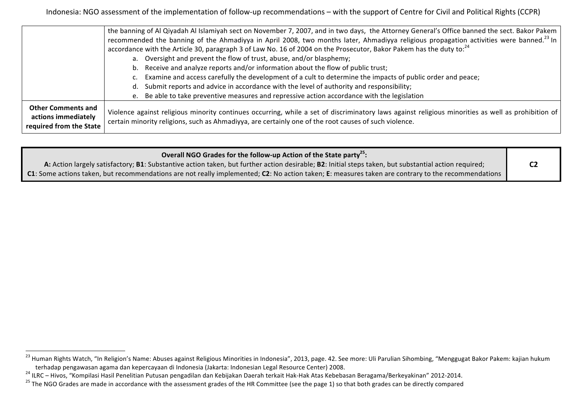|                                                                             | the banning of Al Qiyadah Al Islamiyah sect on November 7, 2007, and in two days, the Attorney General's Office banned the sect. Bakor Pakem                                                                                                                                          |
|-----------------------------------------------------------------------------|---------------------------------------------------------------------------------------------------------------------------------------------------------------------------------------------------------------------------------------------------------------------------------------|
|                                                                             | recommended the banning of the Ahmadiyya in April 2008, two months later, Ahmadiyya religious propagation activities were banned. <sup>23</sup> In<br>accordance with the Article 30, paragraph 3 of Law No. 16 of 2004 on the Prosecutor, Bakor Pakem has the duty to: <sup>24</sup> |
|                                                                             | a. Oversight and prevent the flow of trust, abuse, and/or blasphemy;                                                                                                                                                                                                                  |
|                                                                             | b. Receive and analyze reports and/or information about the flow of public trust;                                                                                                                                                                                                     |
|                                                                             | c. Examine and access carefully the development of a cult to determine the impacts of public order and peace;                                                                                                                                                                         |
|                                                                             | d. Submit reports and advice in accordance with the level of authority and responsibility;                                                                                                                                                                                            |
|                                                                             | e. Be able to take preventive measures and repressive action accordance with the legislation                                                                                                                                                                                          |
| <b>Other Comments and</b><br>actions immediately<br>required from the State | Violence against religious minority continues occurring, while a set of discriminatory laws against religious minorities as well as prohibition of<br>certain minority religions, such as Ahmadiyya, are certainly one of the root causes of such violence.                           |

| Overall NGO Grades for the follow-up Action of the State party <sup>25</sup> :                                                                        |  |
|-------------------------------------------------------------------------------------------------------------------------------------------------------|--|
| A: Action largely satisfactory; B1: Substantive action taken, but further action desirable; B2: Initial steps taken, but substantial action required; |  |
| C1: Some actions taken, but recommendations are not really implemented; C2: No action taken; E: measures taken are contrary to the recommendations    |  |

 

<sup>&</sup>lt;sup>23</sup> Human Rights Watch, "In Religion's Name: Abuses against Religious Minorities in Indonesia", 2013, page. 42. See more: Uli Parulian Sihombing, "Menggugat Bakor Pakem: kajian hukum terhadap pengawasan agama dan kepercayaan di Indonesia (Jakarta: Indonesian Legal Resource Center) 2008.<br><sup>24</sup> ILRC – Hivos, "Kompilasi Hasil Penelitian Putusan pengadilan dan Kebijakan Daerah terkait Hak-Hak Atas Kebebasan